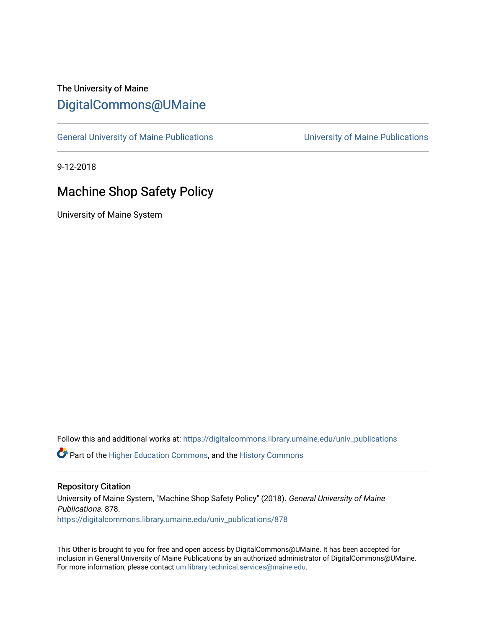# The University of Maine [DigitalCommons@UMaine](https://digitalcommons.library.umaine.edu/)

[General University of Maine Publications](https://digitalcommons.library.umaine.edu/univ_publications) [University of Maine Publications](https://digitalcommons.library.umaine.edu/umaine_publications) 

9-12-2018

# Machine Shop Safety Policy

University of Maine System

Follow this and additional works at: [https://digitalcommons.library.umaine.edu/univ\\_publications](https://digitalcommons.library.umaine.edu/univ_publications?utm_source=digitalcommons.library.umaine.edu%2Funiv_publications%2F878&utm_medium=PDF&utm_campaign=PDFCoverPages) 

**C** Part of the [Higher Education Commons,](http://network.bepress.com/hgg/discipline/1245?utm_source=digitalcommons.library.umaine.edu%2Funiv_publications%2F878&utm_medium=PDF&utm_campaign=PDFCoverPages) and the [History Commons](http://network.bepress.com/hgg/discipline/489?utm_source=digitalcommons.library.umaine.edu%2Funiv_publications%2F878&utm_medium=PDF&utm_campaign=PDFCoverPages)

### Repository Citation

University of Maine System, "Machine Shop Safety Policy" (2018). General University of Maine Publications. 878. [https://digitalcommons.library.umaine.edu/univ\\_publications/878](https://digitalcommons.library.umaine.edu/univ_publications/878?utm_source=digitalcommons.library.umaine.edu%2Funiv_publications%2F878&utm_medium=PDF&utm_campaign=PDFCoverPages) 

This Other is brought to you for free and open access by DigitalCommons@UMaine. It has been accepted for inclusion in General University of Maine Publications by an authorized administrator of DigitalCommons@UMaine. For more information, please contact [um.library.technical.services@maine.edu](mailto:um.library.technical.services@maine.edu).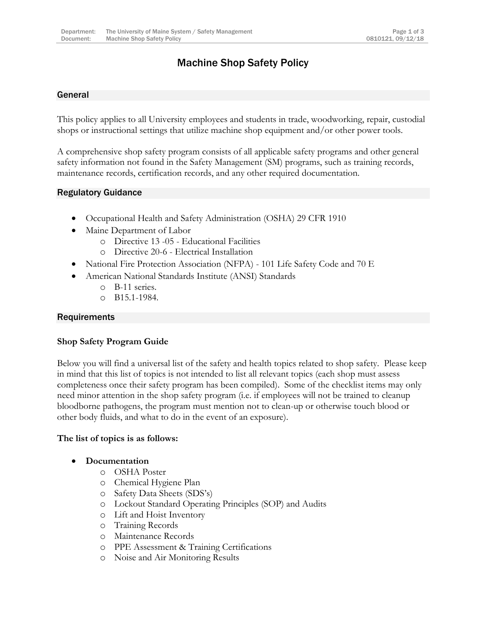# Machine Shop Safety Policy

# General

This policy applies to all University employees and students in trade, woodworking, repair, custodial shops or instructional settings that utilize machine shop equipment and/or other power tools.

A comprehensive shop safety program consists of all applicable safety programs and other general safety information not found in the Safety Management (SM) programs, such as training records, maintenance records, certification records, and any other required documentation.

# Regulatory Guidance

- Occupational Health and Safety Administration (OSHA) 29 CFR 1910
- Maine Department of Labor
	- o Directive 13 -05 Educational Facilities
	- o Directive 20-6 Electrical Installation
- National Fire Protection Association (NFPA) 101 Life Safety Code and 70 E
- American National Standards Institute (ANSI) Standards
	- o B-11 series.
	- o B15.1-1984.

## **Requirements**

# **Shop Safety Program Guide**

Below you will find a universal list of the safety and health topics related to shop safety. Please keep in mind that this list of topics is not intended to list all relevant topics (each shop must assess completeness once their safety program has been compiled). Some of the checklist items may only need minor attention in the shop safety program (i.e. if employees will not be trained to cleanup bloodborne pathogens, the program must mention not to clean-up or otherwise touch blood or other body fluids, and what to do in the event of an exposure).

### **The list of topics is as follows:**

- **Documentation**
	- o OSHA Poster
	- o Chemical Hygiene Plan
	- o Safety Data Sheets (SDS's)
	- o Lockout Standard Operating Principles (SOP) and Audits
	- o Lift and Hoist Inventory
	- o Training Records
	- o Maintenance Records
	- o PPE Assessment & Training Certifications
	- o Noise and Air Monitoring Results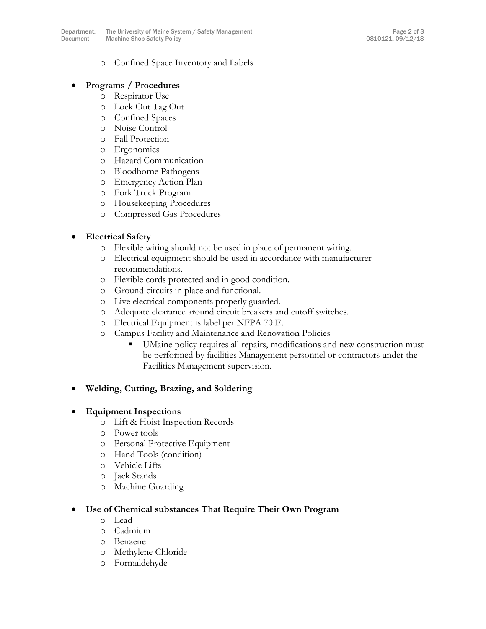o Confined Space Inventory and Labels

# **Programs / Procedures**

- o Respirator Use
- o Lock Out Tag Out
- o Confined Spaces
- o Noise Control
- o Fall Protection
- o Ergonomics
- o Hazard Communication
- o Bloodborne Pathogens
- o Emergency Action Plan
- o Fork Truck Program
- o Housekeeping Procedures
- o Compressed Gas Procedures

# **Electrical Safety**

- o Flexible wiring should not be used in place of permanent wiring.
- o Electrical equipment should be used in accordance with manufacturer recommendations.
- o Flexible cords protected and in good condition.
- o Ground circuits in place and functional.
- o Live electrical components properly guarded.
- o Adequate clearance around circuit breakers and cutoff switches.
- o Electrical Equipment is label per NFPA 70 E.
- o Campus Facility and Maintenance and Renovation Policies
	- UMaine policy requires all repairs, modifications and new construction must be performed by facilities Management personnel or contractors under the Facilities Management supervision.

# **Welding, Cutting, Brazing, and Soldering**

# **Equipment Inspections**

- o Lift & Hoist Inspection Records
- o Power tools
- o Personal Protective Equipment
- o Hand Tools (condition)
- o Vehicle Lifts
- o Jack Stands
- o Machine Guarding

# **Use of Chemical substances That Require Their Own Program**

- o Lead
- o Cadmium
- o Benzene
- o Methylene Chloride
- o Formaldehyde